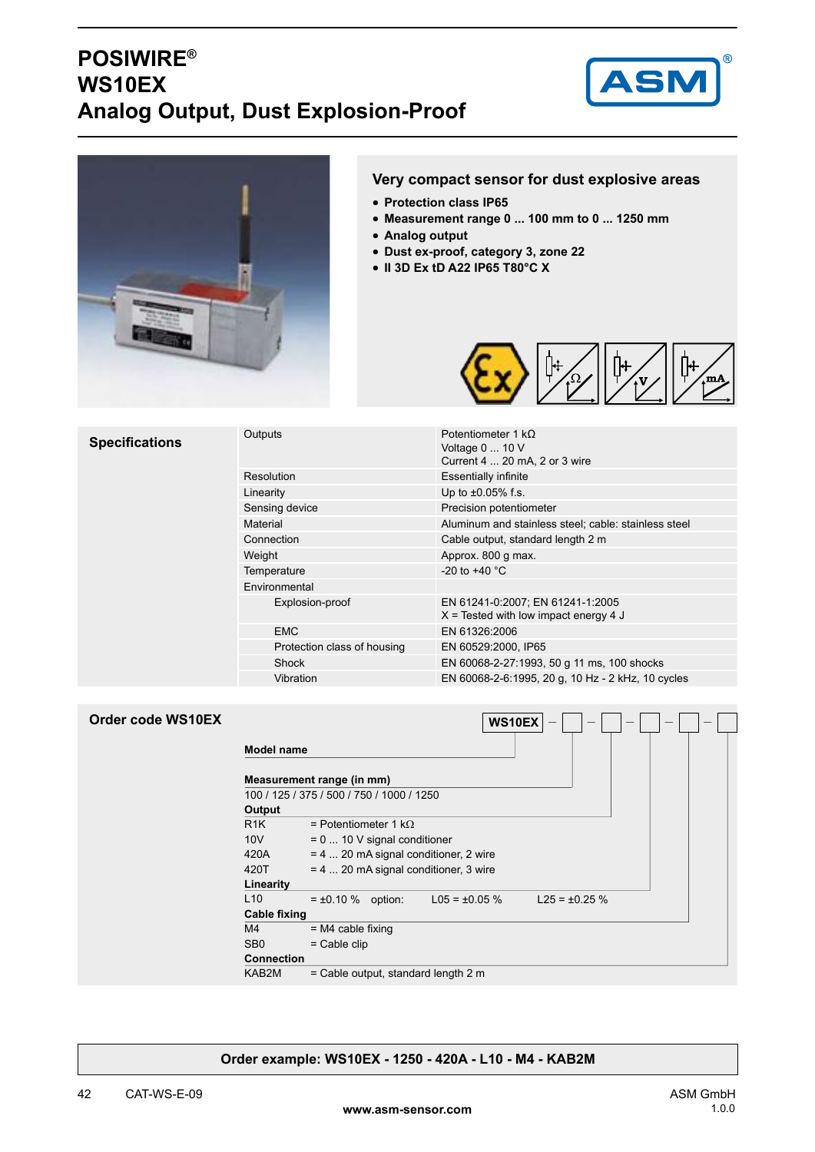#### **POSIWIRE® WS10EX Analog Output, Dust Explosion-Proof**





#### **Very compact sensor for dust explosive areas**

- **Protection class IP65** •
- **Measurement range 0 ... 100 mm to 0 ... 1250 mm** •
- **Analog output** •
- **Dust ex-proof, category 3, zone 22** •
- **II 3D Ex tD A22 IP65 T80°C X** •



| <b>Specifications</b> | Outputs                     | Potentiometer 1 $k\Omega$<br>Voltage 0  10 V<br>Current 4  20 mA, 2 or 3 wire |  |
|-----------------------|-----------------------------|-------------------------------------------------------------------------------|--|
|                       | Resolution                  | <b>Essentially infinite</b>                                                   |  |
|                       | Linearity                   | Up to $\pm 0.05\%$ f.s.                                                       |  |
|                       | Sensing device              | Precision potentiometer                                                       |  |
|                       | Material                    | Aluminum and stainless steel; cable: stainless steel                          |  |
|                       | Connection                  | Cable output, standard length 2 m                                             |  |
|                       | Weight                      | Approx. 800 g max.                                                            |  |
|                       | Temperature                 | $-20$ to $+40$ °C                                                             |  |
|                       | Environmental               |                                                                               |  |
|                       | Explosion-proof             | EN 61241-0:2007; EN 61241-1:2005<br>$X$ = Tested with low impact energy 4 J   |  |
|                       | <b>EMC</b>                  | EN 61326:2006                                                                 |  |
|                       | Protection class of housing | EN 60529:2000, IP65                                                           |  |
|                       | Shock                       | EN 60068-2-27:1993, 50 g 11 ms, 100 shocks                                    |  |
|                       | Vibration                   | EN 60068-2-6:1995, 20 g, 10 Hz - 2 kHz, 10 cycles                             |  |
|                       |                             |                                                                               |  |

| Order code WS10EX |                     | WS10EX<br>$\overline{\phantom{m}}$<br>$\overline{\phantom{a}}$        |
|-------------------|---------------------|-----------------------------------------------------------------------|
|                   | <b>Model name</b>   |                                                                       |
|                   |                     | Measurement range (in mm)                                             |
|                   |                     | 100 / 125 / 375 / 500 / 750 / 1000 / 1250                             |
|                   | Output              |                                                                       |
|                   | R <sub>1</sub> K    | = Potentiometer 1 k $\Omega$                                          |
|                   | 10V                 | $= 0$ 10 V signal conditioner                                         |
|                   | 420A                | = 4  20 mA signal conditioner, 2 wire                                 |
|                   | 420T                | $= 4$ 20 mA signal conditioner, 3 wire                                |
|                   | Linearity           |                                                                       |
|                   | L10                 | $= \pm 0.10 \%$ option:<br>$L05 = \pm 0.05 \%$<br>$L25 = \pm 0.25 \%$ |
|                   | <b>Cable fixing</b> |                                                                       |
|                   | M4                  | $= M4$ cable fixing                                                   |
|                   | SB <sub>0</sub>     | $=$ Cable clip                                                        |
|                   | <b>Connection</b>   |                                                                       |
|                   | KAB2M               | = Cable output, standard length 2 m                                   |

#### **Order example: WS10EX - 1250 - 420A - L10 - M4 - KAB2M**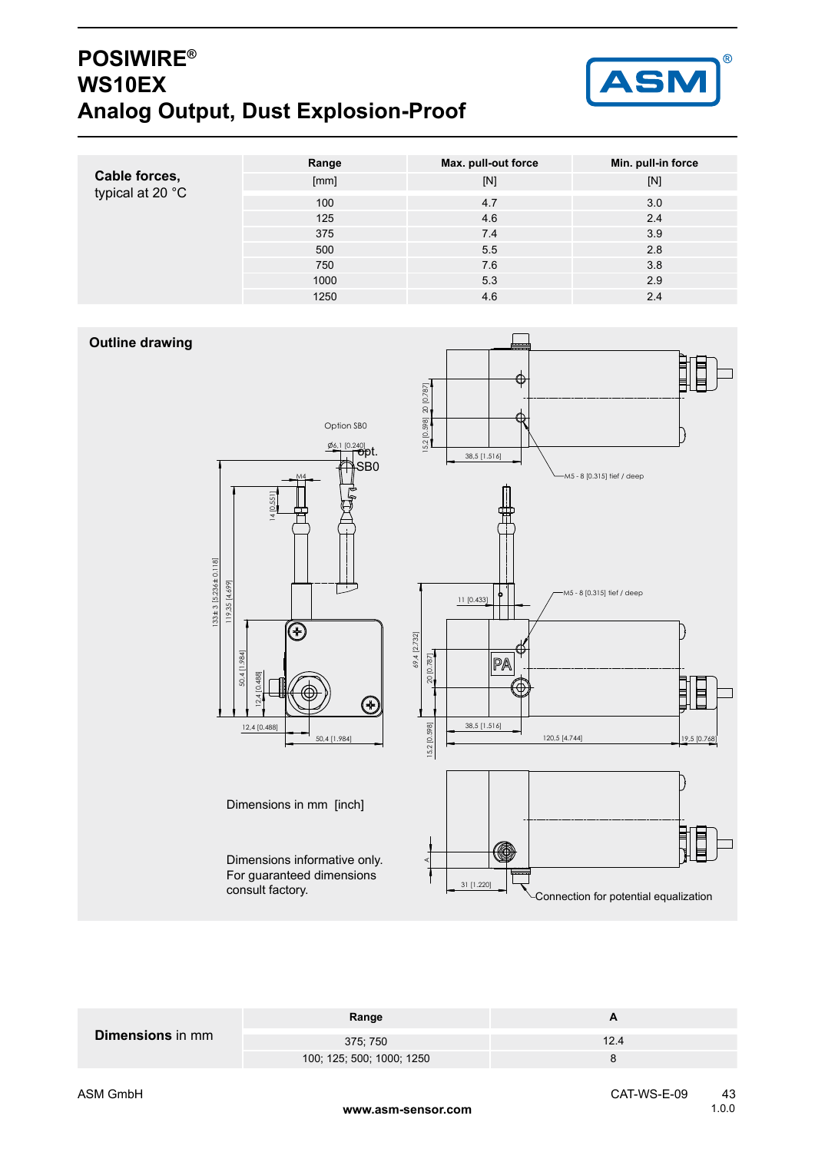### **POSIWIRE® WS10EX Analog Output, Dust Explosion-Proof**



|                                   | Range | Max. pull-out force | Min. pull-in force |
|-----------------------------------|-------|---------------------|--------------------|
| Cable forces,<br>typical at 20 °C | [mm]  | [N]                 | [N]                |
|                                   | 100   | 4.7                 | 3.0                |
|                                   | 125   | 4.6                 | 2.4                |
|                                   | 375   | 7.4                 | 3.9                |
|                                   | 500   | 5.5                 | 2.8                |
|                                   | 750   | 7.6                 | 3.8                |
|                                   | 1000  | 5.3                 | 2.9                |
|                                   | 1250  | 4.6                 | 2.4                |

#### **Outline drawing**



Dimensions informative only. For guaranteed dimensions

Dimensions in mm [inch]

consult factory.



| 375; 750<br>12.4          | <b>Dimensions</b> in mm | Range |  |  |
|---------------------------|-------------------------|-------|--|--|
|                           |                         |       |  |  |
| 100; 125; 500; 1000; 1250 |                         |       |  |  |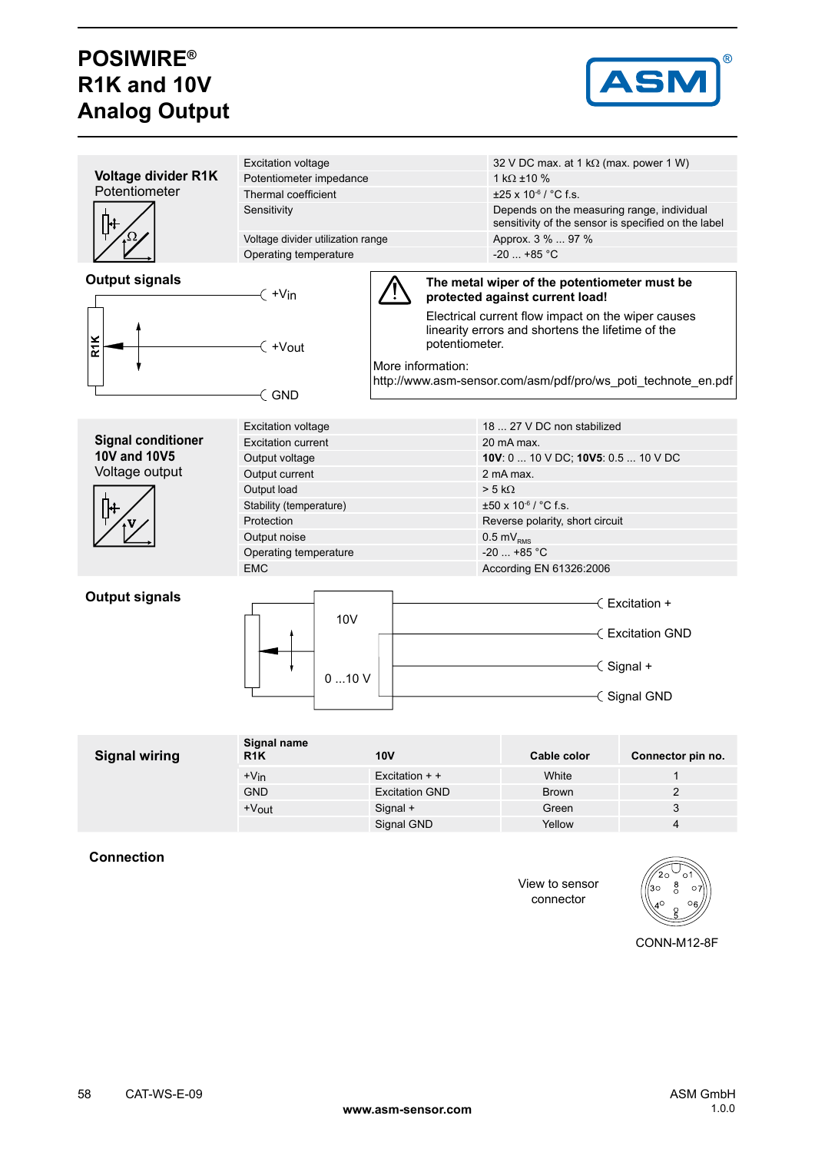# **POSIWIRE® R1K and 10V Analog Output**



| <b>Voltage divider R1K</b><br>Potentiometer impedance<br>1 k $\Omega$ ±10 %<br>Potentiometer<br>Thermal coefficient<br>$\pm 25 \times 10^{-6}$ / °C f.s.<br>Sensitivity<br>Depends on the measuring range, individual<br>sensitivity of the sensor is specified on the label<br>Voltage divider utilization range<br>Approx. 3 %  97 %<br>$-20$ +85 °C<br>Operating temperature<br><b>Output signals</b><br>The metal wiper of the potentiometer must be<br>$\left(\right. +\mathsf{V}\mathsf{in}\right.$<br>protected against current load!<br>Electrical current flow impact on the wiper causes<br>linearity errors and shortens the lifetime of the<br><b>R1K</b><br>potentiometer.<br>$\left( +V_{\text{out}}\right)$<br>More information:<br>http://www.asm-sensor.com/asm/pdf/pro/ws_poti_technote_en.pdf<br>$\in$ GND<br>18  27 V DC non stabilized<br><b>Excitation voltage</b><br><b>Signal conditioner</b><br><b>Excitation current</b><br>20 mA max.<br><b>10V and 10V5</b><br>10V: 0  10 V DC; 10V5: 0.5  10 V DC<br>Output voltage<br>Voltage output<br>Output current<br>2 mA max.<br>$> 5 k\Omega$<br>Output load<br>$\pm 50 \times 10^{-6}$ / °C f.s.<br>Stability (temperature)<br>Protection<br>Reverse polarity, short circuit<br>Output noise<br>$0.5 \text{ mV}_{\text{RMS}}$<br>$-20$ +85 °C<br>Operating temperature<br><b>EMC</b><br>According EN 61326:2006<br><b>Output signals</b><br>∈ Excitation +<br>10 <sub>V</sub><br>← Excitation GND<br>$\leq$ Signal +<br>010V<br>-∈Signal GND<br>Signal name<br><b>Signal wiring</b><br><b>10V</b><br>R <sub>1</sub> K<br>Cable color<br>Connector pin no.<br>White<br>$\mathbf{1}$<br>$+V$ in<br>Excitation $+$ + |  |                           |  |  |                                               |  |
|-----------------------------------------------------------------------------------------------------------------------------------------------------------------------------------------------------------------------------------------------------------------------------------------------------------------------------------------------------------------------------------------------------------------------------------------------------------------------------------------------------------------------------------------------------------------------------------------------------------------------------------------------------------------------------------------------------------------------------------------------------------------------------------------------------------------------------------------------------------------------------------------------------------------------------------------------------------------------------------------------------------------------------------------------------------------------------------------------------------------------------------------------------------------------------------------------------------------------------------------------------------------------------------------------------------------------------------------------------------------------------------------------------------------------------------------------------------------------------------------------------------------------------------------------------------------------------------------------------------------------------------------------------------------------------------------|--|---------------------------|--|--|-----------------------------------------------|--|
|                                                                                                                                                                                                                                                                                                                                                                                                                                                                                                                                                                                                                                                                                                                                                                                                                                                                                                                                                                                                                                                                                                                                                                                                                                                                                                                                                                                                                                                                                                                                                                                                                                                                                         |  | <b>Excitation voltage</b> |  |  | 32 V DC max. at 1 k $\Omega$ (max. power 1 W) |  |
|                                                                                                                                                                                                                                                                                                                                                                                                                                                                                                                                                                                                                                                                                                                                                                                                                                                                                                                                                                                                                                                                                                                                                                                                                                                                                                                                                                                                                                                                                                                                                                                                                                                                                         |  |                           |  |  |                                               |  |
|                                                                                                                                                                                                                                                                                                                                                                                                                                                                                                                                                                                                                                                                                                                                                                                                                                                                                                                                                                                                                                                                                                                                                                                                                                                                                                                                                                                                                                                                                                                                                                                                                                                                                         |  |                           |  |  |                                               |  |
|                                                                                                                                                                                                                                                                                                                                                                                                                                                                                                                                                                                                                                                                                                                                                                                                                                                                                                                                                                                                                                                                                                                                                                                                                                                                                                                                                                                                                                                                                                                                                                                                                                                                                         |  |                           |  |  |                                               |  |
|                                                                                                                                                                                                                                                                                                                                                                                                                                                                                                                                                                                                                                                                                                                                                                                                                                                                                                                                                                                                                                                                                                                                                                                                                                                                                                                                                                                                                                                                                                                                                                                                                                                                                         |  |                           |  |  |                                               |  |
|                                                                                                                                                                                                                                                                                                                                                                                                                                                                                                                                                                                                                                                                                                                                                                                                                                                                                                                                                                                                                                                                                                                                                                                                                                                                                                                                                                                                                                                                                                                                                                                                                                                                                         |  |                           |  |  |                                               |  |
|                                                                                                                                                                                                                                                                                                                                                                                                                                                                                                                                                                                                                                                                                                                                                                                                                                                                                                                                                                                                                                                                                                                                                                                                                                                                                                                                                                                                                                                                                                                                                                                                                                                                                         |  |                           |  |  |                                               |  |
|                                                                                                                                                                                                                                                                                                                                                                                                                                                                                                                                                                                                                                                                                                                                                                                                                                                                                                                                                                                                                                                                                                                                                                                                                                                                                                                                                                                                                                                                                                                                                                                                                                                                                         |  |                           |  |  |                                               |  |
|                                                                                                                                                                                                                                                                                                                                                                                                                                                                                                                                                                                                                                                                                                                                                                                                                                                                                                                                                                                                                                                                                                                                                                                                                                                                                                                                                                                                                                                                                                                                                                                                                                                                                         |  |                           |  |  |                                               |  |
|                                                                                                                                                                                                                                                                                                                                                                                                                                                                                                                                                                                                                                                                                                                                                                                                                                                                                                                                                                                                                                                                                                                                                                                                                                                                                                                                                                                                                                                                                                                                                                                                                                                                                         |  |                           |  |  |                                               |  |
|                                                                                                                                                                                                                                                                                                                                                                                                                                                                                                                                                                                                                                                                                                                                                                                                                                                                                                                                                                                                                                                                                                                                                                                                                                                                                                                                                                                                                                                                                                                                                                                                                                                                                         |  |                           |  |  |                                               |  |
|                                                                                                                                                                                                                                                                                                                                                                                                                                                                                                                                                                                                                                                                                                                                                                                                                                                                                                                                                                                                                                                                                                                                                                                                                                                                                                                                                                                                                                                                                                                                                                                                                                                                                         |  |                           |  |  |                                               |  |
|                                                                                                                                                                                                                                                                                                                                                                                                                                                                                                                                                                                                                                                                                                                                                                                                                                                                                                                                                                                                                                                                                                                                                                                                                                                                                                                                                                                                                                                                                                                                                                                                                                                                                         |  |                           |  |  |                                               |  |
|                                                                                                                                                                                                                                                                                                                                                                                                                                                                                                                                                                                                                                                                                                                                                                                                                                                                                                                                                                                                                                                                                                                                                                                                                                                                                                                                                                                                                                                                                                                                                                                                                                                                                         |  |                           |  |  |                                               |  |
|                                                                                                                                                                                                                                                                                                                                                                                                                                                                                                                                                                                                                                                                                                                                                                                                                                                                                                                                                                                                                                                                                                                                                                                                                                                                                                                                                                                                                                                                                                                                                                                                                                                                                         |  |                           |  |  |                                               |  |
|                                                                                                                                                                                                                                                                                                                                                                                                                                                                                                                                                                                                                                                                                                                                                                                                                                                                                                                                                                                                                                                                                                                                                                                                                                                                                                                                                                                                                                                                                                                                                                                                                                                                                         |  |                           |  |  |                                               |  |
|                                                                                                                                                                                                                                                                                                                                                                                                                                                                                                                                                                                                                                                                                                                                                                                                                                                                                                                                                                                                                                                                                                                                                                                                                                                                                                                                                                                                                                                                                                                                                                                                                                                                                         |  |                           |  |  |                                               |  |
|                                                                                                                                                                                                                                                                                                                                                                                                                                                                                                                                                                                                                                                                                                                                                                                                                                                                                                                                                                                                                                                                                                                                                                                                                                                                                                                                                                                                                                                                                                                                                                                                                                                                                         |  |                           |  |  |                                               |  |
|                                                                                                                                                                                                                                                                                                                                                                                                                                                                                                                                                                                                                                                                                                                                                                                                                                                                                                                                                                                                                                                                                                                                                                                                                                                                                                                                                                                                                                                                                                                                                                                                                                                                                         |  |                           |  |  |                                               |  |
|                                                                                                                                                                                                                                                                                                                                                                                                                                                                                                                                                                                                                                                                                                                                                                                                                                                                                                                                                                                                                                                                                                                                                                                                                                                                                                                                                                                                                                                                                                                                                                                                                                                                                         |  |                           |  |  |                                               |  |
|                                                                                                                                                                                                                                                                                                                                                                                                                                                                                                                                                                                                                                                                                                                                                                                                                                                                                                                                                                                                                                                                                                                                                                                                                                                                                                                                                                                                                                                                                                                                                                                                                                                                                         |  |                           |  |  |                                               |  |
|                                                                                                                                                                                                                                                                                                                                                                                                                                                                                                                                                                                                                                                                                                                                                                                                                                                                                                                                                                                                                                                                                                                                                                                                                                                                                                                                                                                                                                                                                                                                                                                                                                                                                         |  |                           |  |  |                                               |  |
|                                                                                                                                                                                                                                                                                                                                                                                                                                                                                                                                                                                                                                                                                                                                                                                                                                                                                                                                                                                                                                                                                                                                                                                                                                                                                                                                                                                                                                                                                                                                                                                                                                                                                         |  |                           |  |  |                                               |  |
|                                                                                                                                                                                                                                                                                                                                                                                                                                                                                                                                                                                                                                                                                                                                                                                                                                                                                                                                                                                                                                                                                                                                                                                                                                                                                                                                                                                                                                                                                                                                                                                                                                                                                         |  |                           |  |  |                                               |  |
|                                                                                                                                                                                                                                                                                                                                                                                                                                                                                                                                                                                                                                                                                                                                                                                                                                                                                                                                                                                                                                                                                                                                                                                                                                                                                                                                                                                                                                                                                                                                                                                                                                                                                         |  |                           |  |  |                                               |  |
|                                                                                                                                                                                                                                                                                                                                                                                                                                                                                                                                                                                                                                                                                                                                                                                                                                                                                                                                                                                                                                                                                                                                                                                                                                                                                                                                                                                                                                                                                                                                                                                                                                                                                         |  |                           |  |  |                                               |  |

| <b>Signal wiring</b> | R <sub>1</sub> K  | <b>10V</b>            | Cable color  | Connector pin no. |
|----------------------|-------------------|-----------------------|--------------|-------------------|
|                      | $+V_{\text{in}}$  | Excitation $+$ +      | White        |                   |
|                      | <b>GND</b>        | <b>Excitation GND</b> | <b>Brown</b> |                   |
|                      | $+V_{\text{out}}$ | Signal +              | Green        | ບ                 |
|                      |                   | Signal GND            | Yellow       | 4                 |
|                      |                   |                       |              |                   |

**Connection**

View to sensor connector



CONN-M12-8F